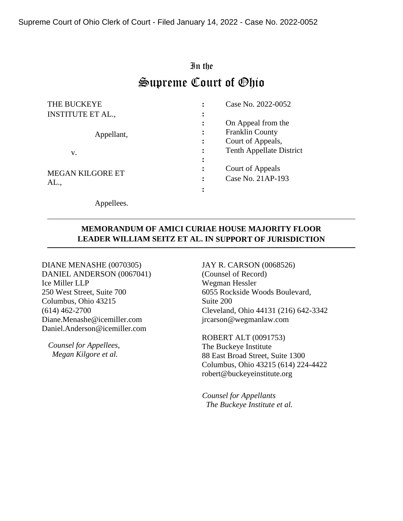# In the Supreme Court of Ohio

| THE BUCKEYE              |                | Case No. 2022-0052              |
|--------------------------|----------------|---------------------------------|
| <b>INSTITUTE ET AL.,</b> | $\ddot{\cdot}$ |                                 |
|                          | $\ddot{\cdot}$ | On Appeal from the              |
| Appellant,               | $\ddot{\cdot}$ | <b>Franklin County</b>          |
|                          | $\ddot{\cdot}$ | Court of Appeals,               |
| v.                       | $\ddot{\cdot}$ | <b>Tenth Appellate District</b> |
|                          | $\ddot{\cdot}$ |                                 |
| <b>MEGAN KILGORE ET</b>  |                | Court of Appeals                |
| AL.,                     | $\ddot{\cdot}$ | Case No. 21AP-193               |
|                          | ٠              |                                 |
|                          |                |                                 |

**MEMORANDUM OF AMICI CURIAE HOUSE MAJORITY FLOOR LEADER WILLIAM SEITZ ET AL. IN SUPPORT OF JURISDICTION** 

DIANE MENASHE (0070305) DANIEL ANDERSON (0067041) Ice Miller LLP 250 West Street, Suite 700 Columbus, Ohio 43215 (614) 462-2700 Diane.Menashe@icemiller.com Daniel.Anderson@icemiller.com

Appellees.

*Counsel for Appellees, Megan Kilgore et al.*

JAY R. CARSON (0068526) (Counsel of Record) Wegman Hessler 6055 Rockside Woods Boulevard, Suite 200 Cleveland, Ohio 44131 (216) 642-3342 jrcarson@wegmanlaw.com

ROBERT ALT (0091753) The Buckeye Institute 88 East Broad Street, Suite 1300 Columbus, Ohio 43215 (614) 224-4422 robert@buckeyeinstitute.org

*Counsel for Appellants The Buckeye Institute et al.*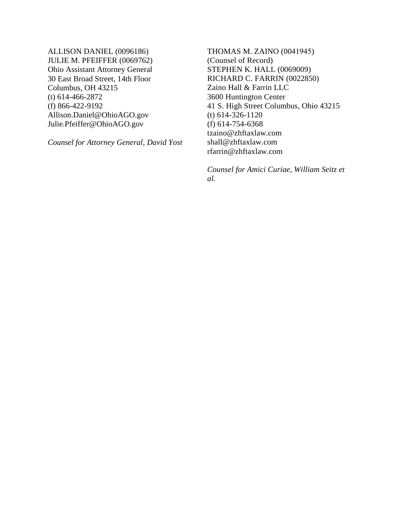ALLISON DANIEL (0096186) JULIE M. PFEIFFER (0069762) Ohio Assistant Attorney General 30 East Broad Street, 14th Floor Columbus, OH 43215 (t) 614-466-2872 (f) 866-422-9192 Allison.Daniel@OhioAGO.gov Julie.Pfeiffer@OhioAGO.gov

*Counsel for Attorney General, David Yost* 

THOMAS M. ZAINO (0041945) (Counsel of Record) STEPHEN K. HALL (0069009) RICHARD C. FARRIN (0022850) Zaino Hall & Farrin LLC 3600 Huntington Center 41 S. High Street Columbus, Ohio 43215 (t) 614-326-1120 (f) 614-754-6368 tzaino@zhftaxlaw.com shall@zhftaxlaw.com rfarrin@zhftaxlaw.com

*Counsel for Amici Curiae, William Seitz et al.*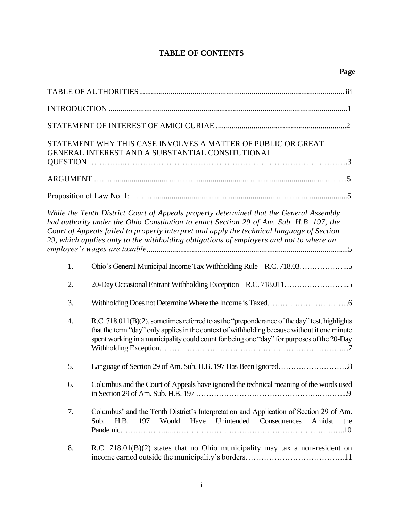## **TABLE OF CONTENTS**

|    | STATEMENT WHY THIS CASE INVOLVES A MATTER OF PUBLIC OR GREAT<br>GENERAL INTEREST AND A SUBSTANTIAL CONSITUTIONAL                                                                                                                                                                                                                                                          |
|----|---------------------------------------------------------------------------------------------------------------------------------------------------------------------------------------------------------------------------------------------------------------------------------------------------------------------------------------------------------------------------|
|    |                                                                                                                                                                                                                                                                                                                                                                           |
|    |                                                                                                                                                                                                                                                                                                                                                                           |
|    | While the Tenth District Court of Appeals properly determined that the General Assembly<br>had authority under the Ohio Constitution to enact Section 29 of Am. Sub. H.B. 197, the<br>Court of Appeals failed to properly interpret and apply the technical language of Section<br>29, which applies only to the withholding obligations of employers and not to where an |
| 1. |                                                                                                                                                                                                                                                                                                                                                                           |
| 2. |                                                                                                                                                                                                                                                                                                                                                                           |
| 3. |                                                                                                                                                                                                                                                                                                                                                                           |
| 4. | R.C. 718.011(B)(2), sometimes referred to as the "preponderance of the day" test, highlights<br>that the term "day" only applies in the context of withholding because without it one minute<br>spent working in a municipality could count for being one "day" for purposes of the 20-Day                                                                                |
| 5. |                                                                                                                                                                                                                                                                                                                                                                           |
| 6. | Columbus and the Court of Appeals have ignored the technical meaning of the words used                                                                                                                                                                                                                                                                                    |
| 7. | Columbus' and the Tenth District's Interpretation and Application of Section 29 of Am.<br>Would Have<br>Unintended Consequences<br>Sub.<br>H.B.<br>197<br>Amidst<br>the                                                                                                                                                                                                   |
| 8. | R.C. $718.01(B)(2)$ states that no Ohio municipality may tax a non-resident on                                                                                                                                                                                                                                                                                            |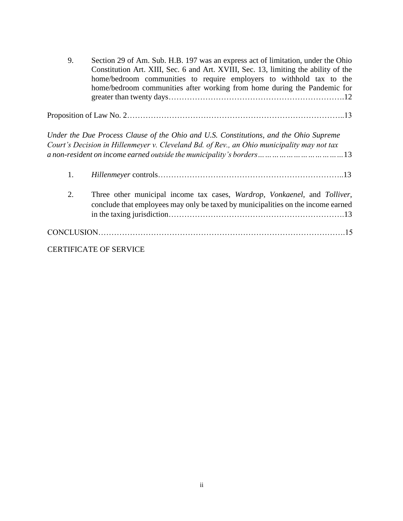| 9. | Section 29 of Am. Sub. H.B. 197 was an express act of limitation, under the Ohio<br>Constitution Art. XIII, Sec. 6 and Art. XVIII, Sec. 13, limiting the ability of the<br>home/bedroom communities to require employers to withhold tax to the<br>home/bedroom communities after working from home during the Pandemic for |
|----|-----------------------------------------------------------------------------------------------------------------------------------------------------------------------------------------------------------------------------------------------------------------------------------------------------------------------------|
|    |                                                                                                                                                                                                                                                                                                                             |
|    | Under the Due Process Clause of the Ohio and U.S. Constitutions, and the Ohio Supreme<br>Court's Decision in Hillenmeyer v. Cleveland Bd. of Rev., an Ohio municipality may not tax                                                                                                                                         |
| 1. |                                                                                                                                                                                                                                                                                                                             |
| 2. | Three other municipal income tax cases, <i>Wardrop</i> , <i>Vonkaenel</i> , and <i>Tolliver</i> ,<br>conclude that employees may only be taxed by municipalities on the income earned                                                                                                                                       |
|    |                                                                                                                                                                                                                                                                                                                             |
|    | <b>CERTIFICATE OF SERVICE</b>                                                                                                                                                                                                                                                                                               |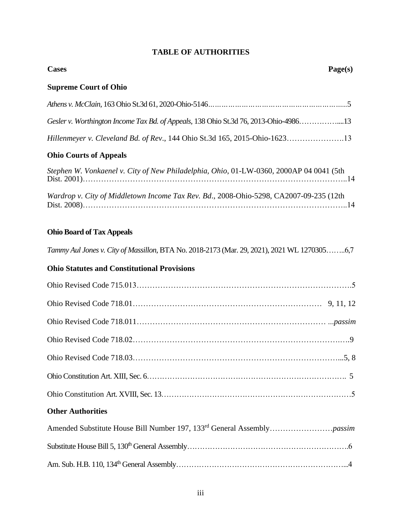# **TABLE OF AUTHORITIES**

| <b>Cases</b><br>Page(s)                                                                     |  |
|---------------------------------------------------------------------------------------------|--|
| <b>Supreme Court of Ohio</b>                                                                |  |
|                                                                                             |  |
| Gesler v. Worthington Income Tax Bd. of Appeals, 138 Ohio St.3d 76, 2013-Ohio-498613        |  |
| Hillenmeyer v. Cleveland Bd. of Rev., 144 Ohio St.3d 165, 2015-Ohio-162313                  |  |
| <b>Ohio Courts of Appeals</b>                                                               |  |
| Stephen W. Vonkaenel v. City of New Philadelphia, Ohio, 01-LW-0360, 2000AP 04 0041 (5th     |  |
| Wardrop v. City of Middletown Income Tax Rev. Bd., 2008-Ohio-5298, CA2007-09-235 (12th      |  |
| <b>Ohio Board of Tax Appeals</b>                                                            |  |
| Tammy Aul Jones v. City of Massillon, BTA No. 2018-2173 (Mar. 29, 2021), 2021 WL 12703056,7 |  |
| <b>Ohio Statutes and Constitutional Provisions</b>                                          |  |
|                                                                                             |  |
|                                                                                             |  |
|                                                                                             |  |
|                                                                                             |  |
|                                                                                             |  |
|                                                                                             |  |
|                                                                                             |  |
| <b>Other Authorities</b>                                                                    |  |
|                                                                                             |  |
|                                                                                             |  |
|                                                                                             |  |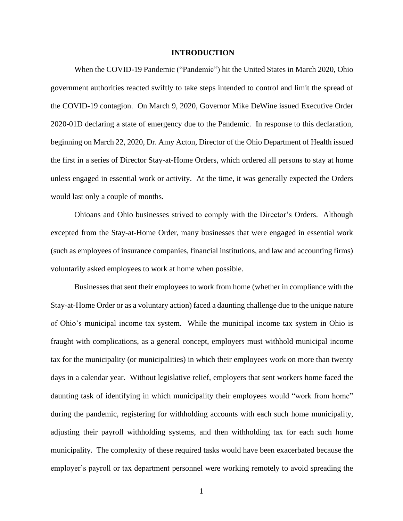#### **INTRODUCTION**

When the COVID-19 Pandemic ("Pandemic") hit the United States in March 2020, Ohio government authorities reacted swiftly to take steps intended to control and limit the spread of the COVID-19 contagion. On March 9, 2020, Governor Mike DeWine issued Executive Order 2020-01D declaring a state of emergency due to the Pandemic. In response to this declaration, beginning on March 22, 2020, Dr. Amy Acton, Director of the Ohio Department of Health issued the first in a series of Director Stay-at-Home Orders, which ordered all persons to stay at home unless engaged in essential work or activity. At the time, it was generally expected the Orders would last only a couple of months.

Ohioans and Ohio businesses strived to comply with the Director's Orders. Although excepted from the Stay-at-Home Order, many businesses that were engaged in essential work (such as employees of insurance companies, financial institutions, and law and accounting firms) voluntarily asked employees to work at home when possible.

Businesses that sent their employees to work from home (whether in compliance with the Stay-at-Home Order or as a voluntary action) faced a daunting challenge due to the unique nature of Ohio's municipal income tax system. While the municipal income tax system in Ohio is fraught with complications, as a general concept, employers must withhold municipal income tax for the municipality (or municipalities) in which their employees work on more than twenty days in a calendar year. Without legislative relief, employers that sent workers home faced the daunting task of identifying in which municipality their employees would "work from home" during the pandemic, registering for withholding accounts with each such home municipality, adjusting their payroll withholding systems, and then withholding tax for each such home municipality. The complexity of these required tasks would have been exacerbated because the employer's payroll or tax department personnel were working remotely to avoid spreading the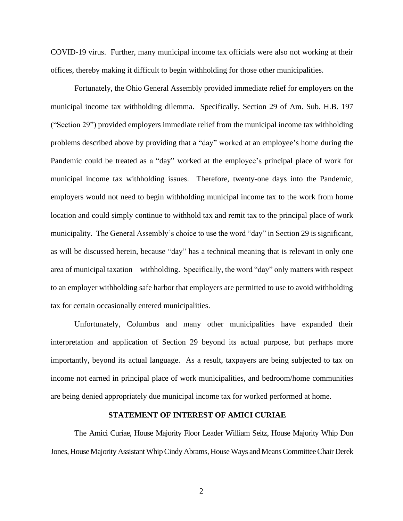COVID-19 virus. Further, many municipal income tax officials were also not working at their offices, thereby making it difficult to begin withholding for those other municipalities.

Fortunately, the Ohio General Assembly provided immediate relief for employers on the municipal income tax withholding dilemma. Specifically, Section 29 of Am. Sub. H.B. 197 ("Section 29") provided employers immediate relief from the municipal income tax withholding problems described above by providing that a "day" worked at an employee's home during the Pandemic could be treated as a "day" worked at the employee's principal place of work for municipal income tax withholding issues. Therefore, twenty-one days into the Pandemic, employers would not need to begin withholding municipal income tax to the work from home location and could simply continue to withhold tax and remit tax to the principal place of work municipality. The General Assembly's choice to use the word "day" in Section 29 is significant, as will be discussed herein, because "day" has a technical meaning that is relevant in only one area of municipal taxation – withholding. Specifically, the word "day" only matters with respect to an employer withholding safe harbor that employers are permitted to use to avoid withholding tax for certain occasionally entered municipalities.

Unfortunately, Columbus and many other municipalities have expanded their interpretation and application of Section 29 beyond its actual purpose, but perhaps more importantly, beyond its actual language. As a result, taxpayers are being subjected to tax on income not earned in principal place of work municipalities, and bedroom/home communities are being denied appropriately due municipal income tax for worked performed at home.

#### **STATEMENT OF INTEREST OF AMICI CURIAE**

The Amici Curiae, House Majority Floor Leader William Seitz, House Majority Whip Don Jones, House Majority Assistant Whip Cindy Abrams, House Ways and Means Committee Chair Derek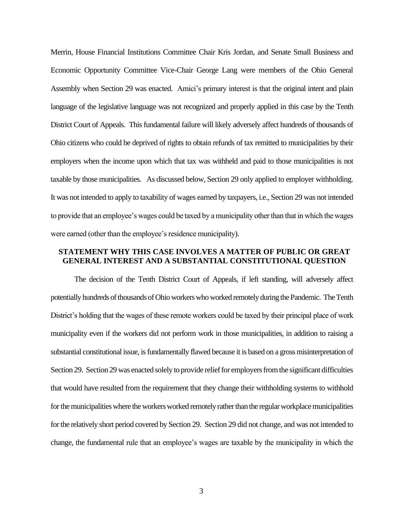Merrin, House Financial Institutions Committee Chair Kris Jordan, and Senate Small Business and Economic Opportunity Committee Vice-Chair George Lang were members of the Ohio General Assembly when Section 29 was enacted. Amici's primary interest is that the original intent and plain language of the legislative language was not recognized and properly applied in this case by the Tenth District Court of Appeals. This fundamental failure will likely adversely affect hundreds of thousands of Ohio citizens who could be deprived of rights to obtain refunds of tax remitted to municipalities by their employers when the income upon which that tax was withheld and paid to those municipalities is not taxable by those municipalities. As discussed below, Section 29 only applied to employer withholding. It was not intended to apply to taxability of wages earned by taxpayers, i.e., Section 29 was not intended to provide that an employee's wages could be taxed by a municipality other than that in which the wages were earned (other than the employee's residence municipality).

## **STATEMENT WHY THIS CASE INVOLVES A MATTER OF PUBLIC OR GREAT GENERAL INTEREST AND A SUBSTANTIAL CONSTITUTIONAL QUESTION**

The decision of the Tenth District Court of Appeals, if left standing, will adversely affect potentially hundreds of thousands of Ohio workers who worked remotely during the Pandemic. The Tenth District's holding that the wages of these remote workers could be taxed by their principal place of work municipality even if the workers did not perform work in those municipalities, in addition to raising a substantial constitutional issue, is fundamentally flawed because it is based on a gross misinterpretation of Section 29. Section 29 was enacted solely to provide relief for employers from the significant difficulties that would have resulted from the requirement that they change their withholding systems to withhold for the municipalities where the workers worked remotely rather than the regular workplace municipalities for the relatively short period covered by Section 29. Section 29 did not change, and was not intended to change, the fundamental rule that an employee's wages are taxable by the municipality in which the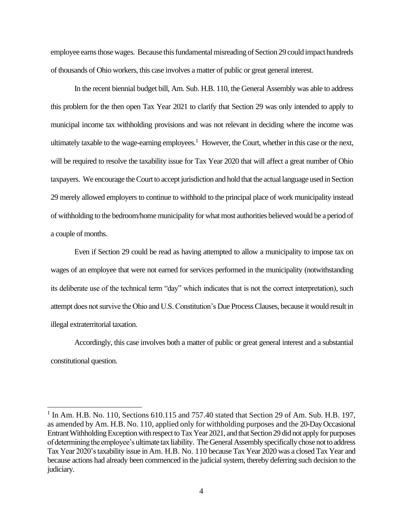employee earns those wages. Because this fundamental misreading of Section 29 could impact hundreds of thousands of Ohio workers, this case involves a matter of public or great general interest.

In the recent biennial budget bill, Am. Sub. H.B. 110, the General Assembly was able to address this problem for the then open Tax Year 2021 to clarify that Section 29 was only intended to apply to municipal income tax withholding provisions and was not relevant in deciding where the income was ultimately taxable to the wage-earning employees.<sup>1</sup> However, the Court, whether in this case or the next, will be required to resolve the taxability issue for Tax Year 2020 that will affect a great number of Ohio taxpayers. We encourage the Court to accept jurisdiction and hold that the actual language used in Section 29 merely allowed employers to continue to withhold to the principal place of work municipality instead of withholding to the bedroom/home municipality for what most authorities believed would be a period of a couple of months.

Even if Section 29 could be read as having attempted to allow a municipality to impose tax on wages of an employee that were not earned for services performed in the municipality (notwithstanding its deliberate use of the technical term "day" which indicates that is not the correct interpretation), such attempt does not survive the Ohio and U.S. Constitution's Due Process Clauses, because it would result in illegal extraterritorial taxation.

Accordingly, this case involves both a matter of public or great general interest and a substantial constitutional question.

<sup>&</sup>lt;sup>1</sup> In Am. H.B. No. 110, Sections 610.115 and 757.40 stated that Section 29 of Am. Sub. H.B. 197, as amended by Am. H.B. No. 110, applied only for withholding purposes and the 20-Day Occasional Entrant Withholding Exception with respect to Tax Year 2021, and that Section 29 did not apply for purposes of determining the employee's ultimate tax liability. The General Assembly specifically chose not to address Tax Year 2020's taxability issue in Am. H.B. No. 110 because Tax Year 2020 was a closed Tax Year and because actions had already been commenced in the judicial system, thereby deferring such decision to the judiciary.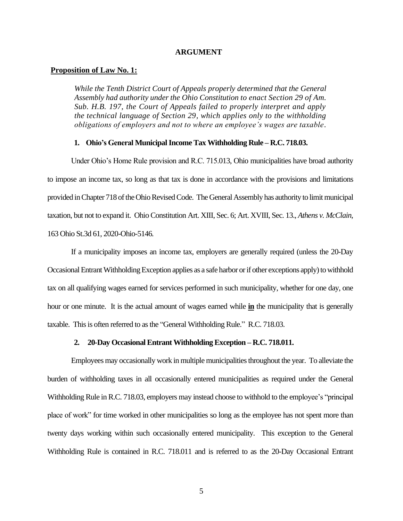#### **ARGUMENT**

## **Proposition of Law No. 1:**

*While the Tenth District Court of Appeals properly determined that the General Assembly had authority under the Ohio Constitution to enact Section 29 of Am. Sub. H.B. 197, the Court of Appeals failed to properly interpret and apply the technical language of Section 29, which applies only to the withholding obligations of employers and not to where an employee's wages are taxable.*

#### 1. Ohio's General Municipal Income Tax Withholding Rule – R.C. 718.03.

Under Ohio's Home Rule provision and R.C. 715.013, Ohio municipalities have broad authority to impose an income tax, so long as that tax is done in accordance with the provisions and limitations provided in Chapter 718 of the Ohio Revised Code. The General Assembly has authority to limit municipal taxation, but not to expand it. Ohio Constitution Art. XIII, Sec. 6; Art. XVIII, Sec. 13., *Athens v. McClain,*  163 Ohio St.3d 61, 2020-Ohio-5146*.*

If a municipality imposes an income tax, employers are generally required (unless the 20-Day Occasional Entrant Withholding Exception applies as a safe harbor or if other exceptions apply) to withhold tax on all qualifying wages earned for services performed in such municipality, whether for one day, one hour or one minute. It is the actual amount of wages earned while **in** the municipality that is generally taxable. This is often referred to as the "General Withholding Rule." R.C. 718.03.

#### **2. 20-Day Occasional Entrant Withholding Exception – R.C. 718.011.**

Employees may occasionally work in multiple municipalities throughout the year. To alleviate the burden of withholding taxes in all occasionally entered municipalities as required under the General Withholding Rule in R.C. 718.03, employers may instead choose to withhold to the employee's "principal place of work" for time worked in other municipalities so long as the employee has not spent more than twenty days working within such occasionally entered municipality. This exception to the General Withholding Rule is contained in R.C. 718.011 and is referred to as the 20-Day Occasional Entrant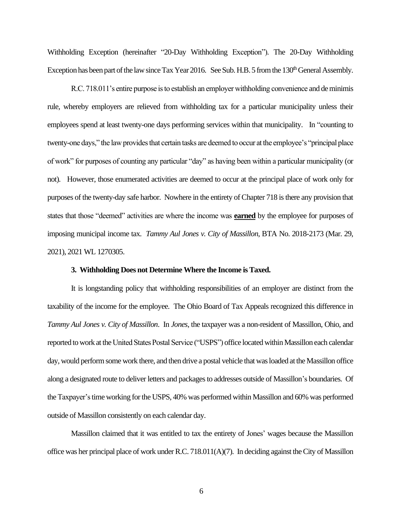Withholding Exception (hereinafter "20-Day Withholding Exception"). The 20-Day Withholding Exception has been part of the law since Tax Year 2016. See Sub. H.B. 5 from the 130<sup>th</sup> General Assembly.

R.C. 718.011's entire purpose is to establish an employer withholding convenience and de minimis rule, whereby employers are relieved from withholding tax for a particular municipality unless their employees spend at least twenty-one days performing services within that municipality. In "counting to twenty-one days," the law provides that certain tasks are deemed to occur at the employee's "principal place of work" for purposes of counting any particular "day" as having been within a particular municipality (or not). However, those enumerated activities are deemed to occur at the principal place of work only for purposes of the twenty-day safe harbor. Nowhere in the entirety of Chapter 718 is there any provision that states that those "deemed" activities are where the income was **earned** by the employee for purposes of imposing municipal income tax. *Tammy Aul Jones v. City of Massillon*, BTA No. 2018-2173 (Mar. 29, 2021), 2021 WL 1270305.

#### **3. Withholding Does not Determine Where the Income is Taxed.**

It is longstanding policy that withholding responsibilities of an employer are distinct from the taxability of the income for the employee. The Ohio Board of Tax Appeals recognized this difference in *Tammy Aul Jones v. City of Massillon*. In *Jones*, the taxpayer was a non-resident of Massillon, Ohio, and reported to work at the United States Postal Service ("USPS") office located within Massillon each calendar day, would perform some work there, and then drive a postal vehicle that was loaded at the Massillon office along a designated route to deliver letters and packages to addresses outside of Massillon's boundaries. Of the Taxpayer's time working for the USPS, 40% was performed within Massillon and 60% was performed outside of Massillon consistently on each calendar day.

Massillon claimed that it was entitled to tax the entirety of Jones' wages because the Massillon office was her principal place of work under R.C. 718.011(A)(7). In deciding against the City of Massillon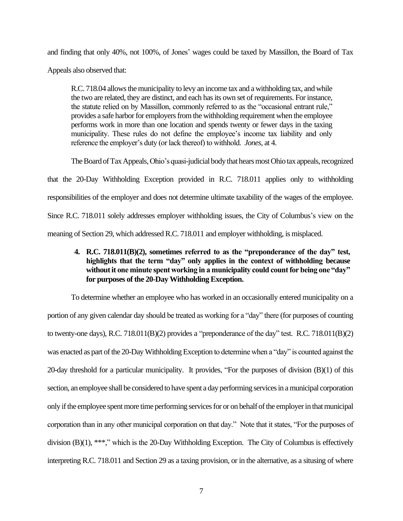and finding that only 40%, not 100%, of Jones' wages could be taxed by Massillon, the Board of Tax

Appeals also observed that:

R.C. 718.04 allows the municipality to levy an income tax and a withholding tax, and while the two are related, they are distinct, and each has its own set of requirements. For instance, the statute relied on by Massillon, commonly referred to as the "occasional entrant rule," provides a safe harbor for employers from the withholding requirement when the employee performs work in more than one location and spends twenty or fewer days in the taxing municipality. These rules do not define the employee's income tax liability and only reference the employer's duty (or lack thereof) to withhold. *Jones*, at 4.

The Board of Tax Appeals, Ohio's quasi-judicial body that hears most Ohio tax appeals, recognized that the 20-Day Withholding Exception provided in R.C. 718.011 applies only to withholding responsibilities of the employer and does not determine ultimate taxability of the wages of the employee. Since R.C. 718.011 solely addresses employer withholding issues, the City of Columbus's view on the meaning of Section 29, which addressed R.C. 718.011 and employer withholding, is misplaced.

## **4. R.C. 718.011(B)(2), sometimes referred to as the "preponderance of the day" test, highlights that the term "day" only applies in the context of withholding because without it one minute spent working in a municipality could count for being one "day" for purposes of the 20-Day Withholding Exception.**

To determine whether an employee who has worked in an occasionally entered municipality on a portion of any given calendar day should be treated as working for a "day" there (for purposes of counting to twenty-one days), R.C. 718.011(B)(2) provides a "preponderance of the day" test. R.C. 718.011(B)(2) was enacted as part of the 20-Day Withholding Exception to determine when a "day" is counted against the 20-day threshold for a particular municipality. It provides, "For the purposes of division (B)(1) of this section, an employee shall be considered to have spent a day performing services in a municipal corporation only if the employee spent more time performing services for or on behalf of the employer in that municipal corporation than in any other municipal corporation on that day." Note that it states, "For the purposes of division (B)(1), \*\*\*," which is the 20-Day Withholding Exception. The City of Columbus is effectively interpreting R.C. 718.011 and Section 29 as a taxing provision, or in the alternative, as a situsing of where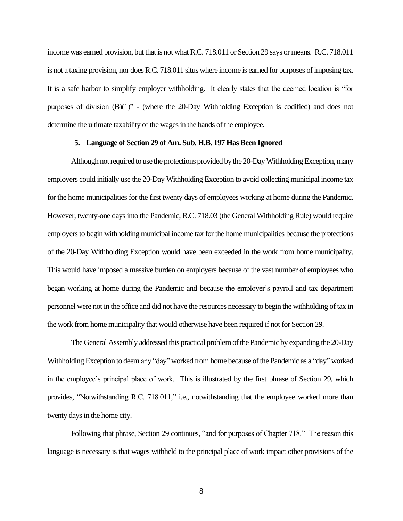income was earned provision, but that is not what R.C. 718.011 or Section 29 says or means. R.C. 718.011 is not a taxing provision, nor does R.C. 718.011 situs where income is earned for purposes of imposing tax. It is a safe harbor to simplify employer withholding. It clearly states that the deemed location is "for purposes of division  $(B)(1)$ " - (where the 20-Day Withholding Exception is codified) and does not determine the ultimate taxability of the wages in the hands of the employee.

#### **5. Language of Section 29 of Am. Sub. H.B. 197 Has Been Ignored**

Although not required to use the protections provided by the 20-Day Withholding Exception, many employers could initially use the 20-Day Withholding Exception to avoid collecting municipal income tax for the home municipalities for the first twenty days of employees working at home during the Pandemic. However, twenty-one days into the Pandemic, R.C. 718.03 (the General Withholding Rule) would require employers to begin withholding municipal income tax for the home municipalities because the protections of the 20-Day Withholding Exception would have been exceeded in the work from home municipality. This would have imposed a massive burden on employers because of the vast number of employees who began working at home during the Pandemic and because the employer's payroll and tax department personnel were not in the office and did not have the resources necessary to begin the withholding of tax in the work from home municipality that would otherwise have been required if not for Section 29.

The General Assembly addressed this practical problem of the Pandemic by expanding the 20-Day Withholding Exception to deem any "day" worked from home because of the Pandemic as a "day" worked in the employee's principal place of work. This is illustrated by the first phrase of Section 29, which provides, "Notwithstanding R.C. 718.011," i.e., notwithstanding that the employee worked more than twenty days in the home city.

Following that phrase, Section 29 continues, "and for purposes of Chapter 718." The reason this language is necessary is that wages withheld to the principal place of work impact other provisions of the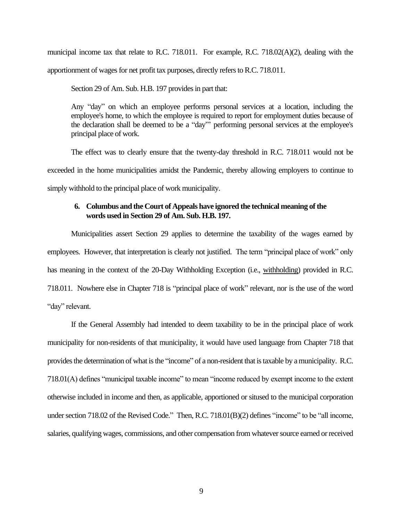municipal income tax that relate to R.C. 718.011. For example, R.C. 718.02(A)(2), dealing with the apportionment of wages for net profit tax purposes, directly refers to R.C. 718.011.

Section 29 of Am. Sub. H.B. 197 provides in part that:

Any "day" on which an employee performs personal services at a location, including the employee's home, to which the employee is required to report for employment duties because of the declaration shall be deemed to be a "day"' performing personal services at the employee's principal place of work.

The effect was to clearly ensure that the twenty-day threshold in R.C. 718.011 would not be exceeded in the home municipalities amidst the Pandemic, thereby allowing employers to continue to simply withhold to the principal place of work municipality.

## **6. Columbus and the Court of Appeals have ignored the technical meaning of the words used in Section 29 of Am. Sub. H.B. 197.**

Municipalities assert Section 29 applies to determine the taxability of the wages earned by employees. However, that interpretation is clearly not justified. The term "principal place of work" only has meaning in the context of the 20-Day Withholding Exception (i.e., withholding) provided in R.C. 718.011. Nowhere else in Chapter 718 is "principal place of work" relevant, nor is the use of the word "day" relevant.

If the General Assembly had intended to deem taxability to be in the principal place of work municipality for non-residents of that municipality, it would have used language from Chapter 718 that provides the determination of what is the "income" of a non-resident that is taxable by a municipality. R.C. 718.01(A) defines "municipal taxable income" to mean "income reduced by exempt income to the extent otherwise included in income and then, as applicable, apportioned or sitused to the municipal corporation under section 718.02 of the Revised Code." Then, R.C. 718.01(B)(2) defines "income" to be "all income, salaries, qualifying wages, commissions, and other compensation from whatever source earned or received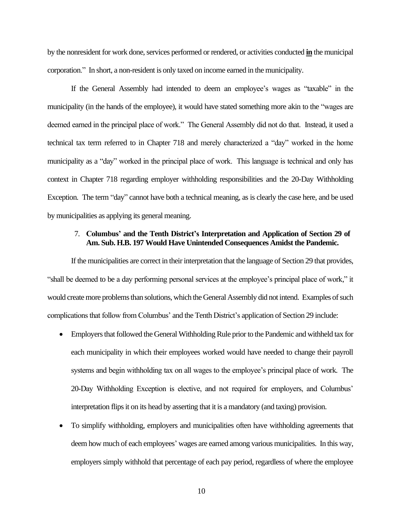by the nonresident for work done, services performed or rendered, or activities conducted **in** the municipal corporation." In short, a non-resident is only taxed on income earned in the municipality.

If the General Assembly had intended to deem an employee's wages as "taxable" in the municipality (in the hands of the employee), it would have stated something more akin to the "wages are deemed earned in the principal place of work." The General Assembly did not do that. Instead, it used a technical tax term referred to in Chapter 718 and merely characterized a "day" worked in the home municipality as a "day" worked in the principal place of work. This language is technical and only has context in Chapter 718 regarding employer withholding responsibilities and the 20-Day Withholding Exception. The term "day" cannot have both a technical meaning, as is clearly the case here, and be used by municipalities as applying its general meaning.

## 7. **Columbus' and the Tenth District's Interpretation and Application of Section 29 of Am. Sub. H.B. 197 Would Have Unintended Consequences Amidst the Pandemic.**

If the municipalities are correct in their interpretation that the language of Section 29 that provides, "shall be deemed to be a day performing personal services at the employee's principal place of work," it would create more problems than solutions, which the General Assembly did not intend. Examples of such complications that follow from Columbus' and the Tenth District's application of Section 29 include:

- Employers that followed the General Withholding Rule prior to the Pandemic and withheld tax for each municipality in which their employees worked would have needed to change their payroll systems and begin withholding tax on all wages to the employee's principal place of work. The 20-Day Withholding Exception is elective, and not required for employers, and Columbus' interpretation flips it on its head by asserting that it is a mandatory (and taxing) provision.
- To simplify withholding, employers and municipalities often have withholding agreements that deem how much of each employees' wages are earned among various municipalities. In this way, employers simply withhold that percentage of each pay period, regardless of where the employee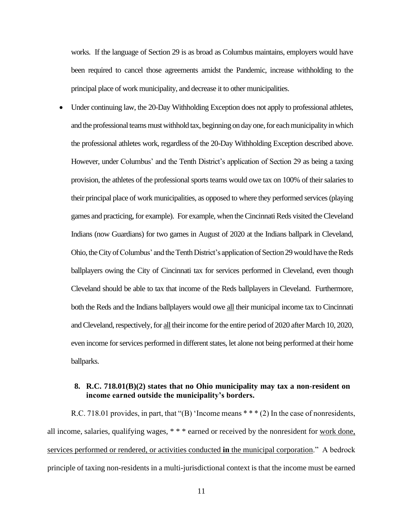works. If the language of Section 29 is as broad as Columbus maintains, employers would have been required to cancel those agreements amidst the Pandemic, increase withholding to the principal place of work municipality, and decrease it to other municipalities.

Under continuing law, the 20-Day Withholding Exception does not apply to professional athletes, and the professional teams must withhold tax, beginning on day one, for each municipality in which the professional athletes work, regardless of the 20-Day Withholding Exception described above. However, under Columbus' and the Tenth District's application of Section 29 as being a taxing provision, the athletes of the professional sports teams would owe tax on 100% of their salaries to their principal place of work municipalities, as opposed to where they performed services (playing games and practicing, for example). For example, when the Cincinnati Reds visited the Cleveland Indians (now Guardians) for two games in August of 2020 at the Indians ballpark in Cleveland, Ohio, the City of Columbus' and the Tenth District's application of Section 29 would have the Reds ballplayers owing the City of Cincinnati tax for services performed in Cleveland, even though Cleveland should be able to tax that income of the Reds ballplayers in Cleveland. Furthermore, both the Reds and the Indians ballplayers would owe all their municipal income tax to Cincinnati and Cleveland, respectively, for all their income for the entire period of 2020 after March 10, 2020, even income for services performed in different states, let alone not being performed at their home ballparks.

## **8. R.C. 718.01(B)(2) states that no Ohio municipality may tax a non-resident on income earned outside the municipality's borders.**

R.C. 718.01 provides, in part, that "(B) 'Income means \* \* \* (2) In the case of nonresidents, all income, salaries, qualifying wages, \* \* \* earned or received by the nonresident for work done, services performed or rendered, or activities conducted **in** the municipal corporation." A bedrock principle of taxing non-residents in a multi-jurisdictional context is that the income must be earned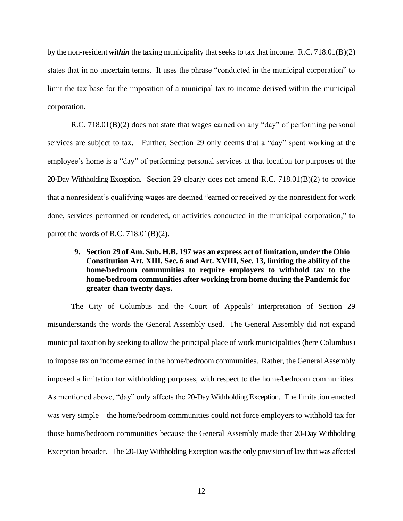by the non-resident *within* the taxing municipality that seeks to tax that income. R.C. 718.01(B)(2) states that in no uncertain terms. It uses the phrase "conducted in the municipal corporation" to limit the tax base for the imposition of a municipal tax to income derived within the municipal corporation.

R.C. 718.01(B)(2) does not state that wages earned on any "day" of performing personal services are subject to tax. Further, Section 29 only deems that a "day" spent working at the employee's home is a "day" of performing personal services at that location for purposes of the 20-Day Withholding Exception. Section 29 clearly does not amend R.C. 718.01(B)(2) to provide that a nonresident's qualifying wages are deemed "earned or received by the nonresident for work done, services performed or rendered, or activities conducted in the municipal corporation," to parrot the words of R.C. 718.01(B)(2).

**9. Section 29 of Am. Sub. H.B. 197 was an express act of limitation, under the Ohio Constitution Art. XIII, Sec. 6 and Art. XVIII, Sec. 13, limiting the ability of the home/bedroom communities to require employers to withhold tax to the home/bedroom communities after working from home during the Pandemic for greater than twenty days.**

The City of Columbus and the Court of Appeals' interpretation of Section 29 misunderstands the words the General Assembly used. The General Assembly did not expand municipal taxation by seeking to allow the principal place of work municipalities (here Columbus) to impose tax on income earned in the home/bedroom communities. Rather, the General Assembly imposed a limitation for withholding purposes, with respect to the home/bedroom communities. As mentioned above, "day" only affects the 20-Day Withholding Exception. The limitation enacted was very simple – the home/bedroom communities could not force employers to withhold tax for those home/bedroom communities because the General Assembly made that 20-Day Withholding Exception broader. The 20-Day Withholding Exception was the only provision of law that was affected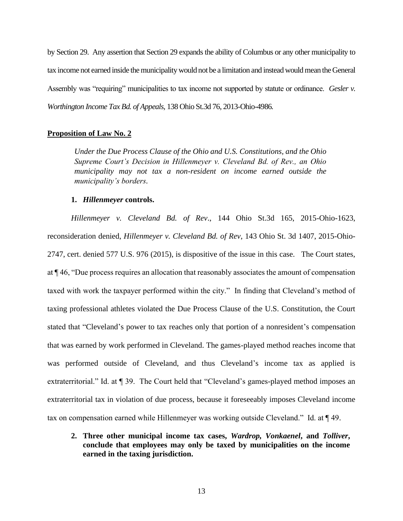by Section 29. Any assertion that Section 29 expands the ability of Columbus or any other municipality to tax income not earned inside the municipality would not be a limitation and instead would mean the General Assembly was "requiring" municipalities to tax income not supported by statute or ordinance. *Gesler v. Worthington Income Tax Bd. of Appeals,* 138 Ohio St.3d 76, 2013-Ohio-4986*.*

### **Proposition of Law No. 2**

*Under the Due Process Clause of the Ohio and U.S. Constitutions, and the Ohio Supreme Court's Decision in Hillenmeyer v. Cleveland Bd. of Rev., an Ohio municipality may not tax a non-resident on income earned outside the municipality's borders.*

#### **1.** *Hillenmeyer* **controls.**

*Hillenmeyer v. Cleveland Bd. of Rev*., 144 Ohio St.3d 165, 2015-Ohio-1623, reconsideration denied, *Hillenmeyer v. Cleveland Bd. of Rev*, 143 Ohio St. 3d 1407, 2015-Ohio-2747, cert. denied 577 U.S. 976 (2015), is dispositive of the issue in this case. The Court states, at ¶ 46, "Due process requires an allocation that reasonably associates the amount of compensation taxed with work the taxpayer performed within the city." In finding that Cleveland's method of taxing professional athletes violated the Due Process Clause of the U.S. Constitution, the Court stated that "Cleveland's power to tax reaches only that portion of a nonresident's compensation that was earned by work performed in Cleveland. The games-played method reaches income that was performed outside of Cleveland, and thus Cleveland's income tax as applied is extraterritorial." Id. at ¶ 39. The Court held that "Cleveland's games-played method imposes an extraterritorial tax in violation of due process, because it foreseeably imposes Cleveland income tax on compensation earned while Hillenmeyer was working outside Cleveland." Id. at ¶ 49.

**2. Three other municipal income tax cases,** *Wardrop, Vonkaenel***, and** *Tolliver***, conclude that employees may only be taxed by municipalities on the income earned in the taxing jurisdiction.**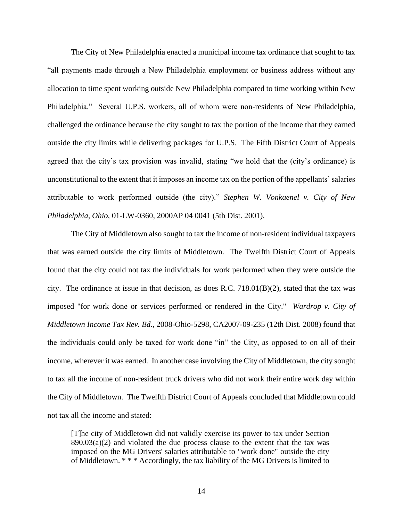The City of New Philadelphia enacted a municipal income tax ordinance that sought to tax "all payments made through a New Philadelphia employment or business address without any allocation to time spent working outside New Philadelphia compared to time working within New Philadelphia." Several U.P.S. workers, all of whom were non-residents of New Philadelphia, challenged the ordinance because the city sought to tax the portion of the income that they earned outside the city limits while delivering packages for U.P.S. The Fifth District Court of Appeals agreed that the city's tax provision was invalid, stating "we hold that the (city's ordinance) is unconstitutional to the extent that it imposes an income tax on the portion of the appellants' salaries attributable to work performed outside (the city)." *Stephen W. Vonkaenel v. City of New Philadelphia, Ohio*, 01-LW-0360, 2000AP 04 0041 (5th Dist. 2001).

The City of Middletown also sought to tax the income of non-resident individual taxpayers that was earned outside the city limits of Middletown. The Twelfth District Court of Appeals found that the city could not tax the individuals for work performed when they were outside the city. The ordinance at issue in that decision, as does R.C. 718.01(B)(2), stated that the tax was imposed "for work done or services performed or rendered in the City." *Wardrop v. City of Middletown Income Tax Rev. Bd*., 2008-Ohio-5298, CA2007-09-235 (12th Dist. 2008) found that the individuals could only be taxed for work done "in" the City, as opposed to on all of their income, wherever it was earned. In another case involving the City of Middletown, the city sought to tax all the income of non-resident truck drivers who did not work their entire work day within the City of Middletown. The Twelfth District Court of Appeals concluded that Middletown could not tax all the income and stated:

[T]he city of Middletown did not validly exercise its power to tax under Section  $890.03(a)(2)$  and violated the due process clause to the extent that the tax was imposed on the MG Drivers' salaries attributable to "work done" outside the city of Middletown. \* \* \* Accordingly, the tax liability of the MG Drivers is limited to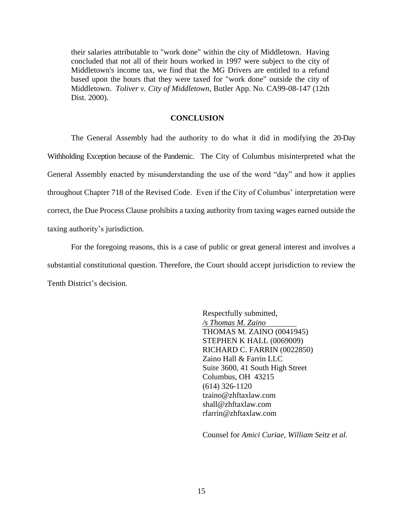their salaries attributable to "work done" within the city of Middletown. Having concluded that not all of their hours worked in 1997 were subject to the city of Middletown's income tax, we find that the MG Drivers are entitled to a refund based upon the hours that they were taxed for "work done" outside the city of Middletown. *Toliver v. City of Middletown*, Butler App. No. CA99-08-147 (12th Dist. 2000).

#### **CONCLUSION**

The General Assembly had the authority to do what it did in modifying the 20-Day Withholding Exception because of the Pandemic. The City of Columbus misinterpreted what the General Assembly enacted by misunderstanding the use of the word "day" and how it applies throughout Chapter 718 of the Revised Code. Even if the City of Columbus' interpretation were correct, the Due Process Clause prohibits a taxing authority from taxing wages earned outside the taxing authority's jurisdiction.

For the foregoing reasons, this is a case of public or great general interest and involves a substantial constitutional question. Therefore, the Court should accept jurisdiction to review the Tenth District's decision.

> Respectfully submitted, */s Thomas M. Zaino* THOMAS M. ZAINO (0041945) STEPHEN K HALL (0069009) RICHARD C. FARRIN (0022850) Zaino Hall & Farrin LLC Suite 3600, 41 South High Street Columbus, OH 43215 (614) 326-1120 tzaino@zhftaxlaw.com shall@zhftaxlaw.com rfarrin@zhftaxlaw.com

Counsel for *Amici Curiae, William Seitz et al.*